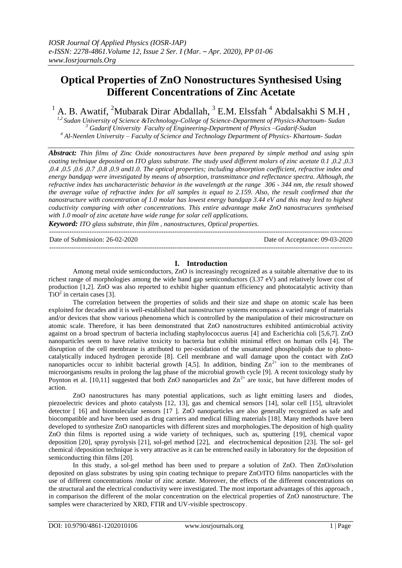# **Optical Properties of ZnO Nonostructures Synthesised Using Different Concentrations of Zinc Acetate**

<sup>1</sup> A. B. Awatif, <sup>2</sup>Mubarak Dirar Abdallah, <sup>3</sup> E.M. Elssfah<sup>4</sup> Abdalsakhi S M.H,

*1,2 Sudan University of Science &Technology-College of Science-Department of Physics-Khartoum- Sudan <sup>3</sup> Gadarif University Faculty of Engineering-Department of Physics –Gadarif-Sudan <sup>4</sup> Al-Neenlen University – Faculty of Science and Technology Department of Physics- Khartoum- Sudan*

*Abstract: Thin films of Zinc Oxide nonostructures have been prepared by simple method and using spin coating technique deposited on ITO glass substrate. The study used different molars of zinc acetate 0.1 ,0.2 ,0.3 ,0.4 ,0.5 ,0.6 ,0.7 ,0.8 ,0.9 and1.0. The optical properties; including absorption coefficient, refractive index and energy bandgap were investigated by means of absorption, transmittance and reflectance spectra. Although, the refractive index has uncharacteristic behavior in the wavelength at the range 306 - 344 nm, the result showed the average value of refractive index for all samples is equal to 2.159. Also, the result confirmed that the nanostructure with concentration of 1.0 molar has lowest energy bandgap 3.44 eV and this may leed to highest coductivity comparing with other concentrations. This entire advantage make ZnO nanostrucures syntheised with 1.0 moalr of zinc acetate have wide range for solar cell applications.*

*Keyword: ITO glass substrate, thin film , nanostructures, Optical properties.*

Date of Submission: 26-02-2020 Date of Acceptance: 09-03-2020

## **I. Introduction**

---------------------------------------------------------------------------------------------------------------------------------------

---------------------------------------------------------------------------------------------------------------------------------------

Among metal oxide semiconductors, ZnO is increasingly recognized as a suitable alternative due to its richest range of morphologies among the wide band gap semiconductors (3.37 eV) and relatively lower cost of production [1,2]. ZnO was also reported to exhibit higher quantum efficiency and photocatalytic activity than  $TiO<sup>2</sup>$  in certain cases [3].

The correlation between the properties of solids and their size and shape on atomic scale has been exploited for decades and it is well-established that nanostructure systems encompass a varied range of materials and/or devices that show various phenomena which is controlled by the manipulation of their microstructure on atomic scale. Therefore, it has been demonstrated that ZnO nanostructures exhibited antimicrobial activity against on a broad spectrum of bacteria including staphylococcus auerus [4] and Escherichia coli [5,6,7]. ZnO nanoparticles seem to have relative toxicity to bacteria but exhibit minimal effect on human cells [4]. The disruption of the cell membrane is attributed to per-oxidation of the unsaturated phospholipids due to photocatalytically induced hydrogen peroxide [8]. Cell membrane and wall damage upon the contact with ZnO nanoparticles occur to inhibit bacterial growth [4,5]. In addition, binding  $\text{Zn}^{2+}$  ion to the membranes of microorganisms results in prolong the lag phase of the microbial growth cycle [9]. A recent toxicology study by Poynton et al. [10,11] suggested that both ZnO nanoparticles and  $Zn^{2+}$  are toxic, but have different modes of action.

ZnO nanostructures has many potential applications, such as light emitting lasers and diodes, piezoelectric devices and photo catalysts [12, 13], gas and chemical sensors [14], solar cell [15], ultraviolet detector [ 16] and biomolecular sensors [17 ]. ZnO nanoparticles are also generally recognized as safe and biocompatible and have been used as drug carriers and medical filling materials [18]. Many methods have been developed to synthesize ZnO nanoparticles with different sizes and morphologies.The deposition of high quality ZnO thin films is reported using a wide variety of techniques, such as, sputtering [19], chemical vapor deposition [20], spray pyrolysis [21], sol-gel method [22], and electrochemical deposition [23]. The sol- gel chemical /deposition technique is very attractive as it can be entrenched easily in laboratory for the deposition of semiconducting thin films [20].

In this study, a sol-gel method has been used to prepare a solution of ZnO. Then ZnO/solution deposited on glass substrates by using spin coating technique to prepare ZnO/ITO films nanoparticles with the use of different concentrations /molar of zinc acetate. Moreover, the effects of the different concentrations on the structural and the electrical conductivity were investigated. The most important advantages of this approach , in comparison the different of the molar concentration on the electrical properties of ZnO nanostructure. The samples were characterized by XRD, FTIR and UV-visible spectroscopy.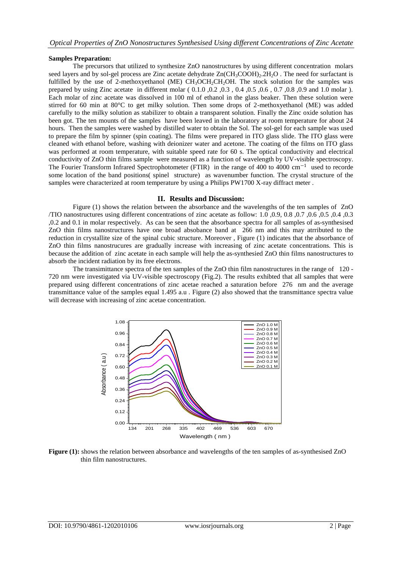### **Samples Preparation:**

The precursors that utilized to synthesize ZnO nanostructures by using different concentration molars seed layers and by sol-gel process are Zinc acetate dehydrate  $Zn(CH_3COOH)_{2.2}H_{2}O$ . The need for surfactant is fulfilled by the use of 2-methoxyethanol (ME)  $CH_3OCH_2OH_2OH$ . The stock solution for the samples was prepared by using Zinc acetate in different molar ( 0.1.0 ,0.2 ,0.3 , 0.4 ,0.5 ,0.6 , 0.7 ,0.8 ,0.9 and 1.0 molar ). Each molar of zinc acetate was dissolved in 100 ml of ethanol in the glass beaker. Then these solution were stirred for 60 min at 80°C to get milky solution. Then some drops of 2-methoxyethanol (ME) was added carefully to the milky solution as stabilizer to obtain a transparent solution. Finally the Zinc oxide solution has been got. The ten mounts of the samples have been leaved in the laboratory at room temperature for about 24 hours. Then the samples were washed by distilled water to obtain the Sol. The sol-gel for each sample was used to prepare the film by spinner (spin coating). The films were prepared in ITO glass slide. The ITO glass were cleaned with ethanol before, washing with deionizer water and acetone. The coating of the films on ITO glass was performed at room temperature, with suitable speed rate for 60 s. The optical conductivity and electrical conductivity of ZnO thin films sample were measured as a function of wavelength by UV-visible spectroscopy. The Fourier Transform Infrared Spectrophotometer (FTIR) in the range of 400 to 4000 cm<sup>-1</sup> used to recorde some location of the band positions( spinel structure) as wavenumber function. The crystal structure of the samples were characterized at room temperature by using a Philips PW1700 X-ray diffract meter.

### **II. Results and Discussion:**

Figure (1) shows the relation between the absorbance and the wavelengths of the ten samples of ZnO /TIO nanostructures using different concentrations of zinc acetate as follow: 1.0 ,0.9, 0.8 ,0.7 ,0.6 ,0.5 ,0.4 ,0.3 ,0.2 and 0.1 in molar respectively. As can be seen that the absorbance spectra for all samples of as-synthesised ZnO thin films nanostructures have one broad absobance band at 266 nm and this may atrributed to the reduction in crystallite size of the spinal cubic structure. Moreover , Figure (1) indicates that the absorbance of ZnO thin films nanostrucures are gradually increase with increasing of zinc acetate concentrations. This is because the addition of zinc acetate in each sample will help the as-synthesied ZnO thin films nanostructures to absorb the incident radiation by its free electrons.

The transimittance spectra of the ten samples of the ZnO thin film nanostructures in the range of 120 - 720 nm were investigated via UV-visible spectroscopy (Fig.2). The results exhibted that all samples that were prepared using different concentrations of zinc acetae reached a saturation before 276 nm and the average transmittance value of the samples equal 1.495 a.u . Figure (2) also showed that the transmittance spectra value will decrease with increasing of zinc acetae concentration.



**Figure (1):** shows the relation between absorbance and wavelengths of the ten samples of as-synthesised ZnO thin film nanostructures.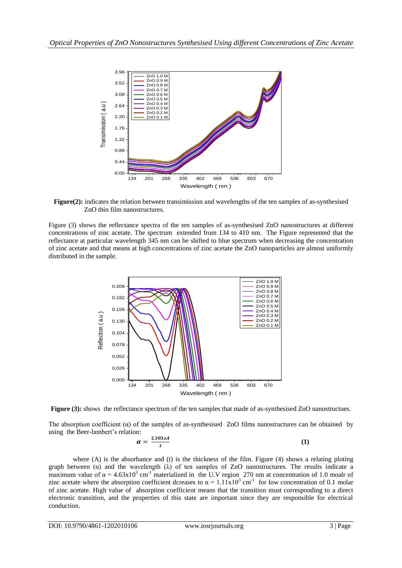

**Figure(2):** indicates the relation between transimission and wavelengths of the ten samples of as-synthesised ZnO thin film nanostructures.

Figure (3) shows the reflectance spectra of the ten samples of as-synthesised ZnO nanostructures at different concentrations of zinc acetate. The spectrum extended from 134 to 410 nm. The Figure represented that the reflectance at particular wavelength 345 nm can be shifted to blue spectrum when decreasing the concentration of zinc acetate and that means at high concentrations of zinc acetate the ZnO nanoparticles are almost uniformly distributed in the sample.



**Figure (3):** shows the reflectance spectrum of the ten samples that made of as-synthesised ZnO nanostructues.

The absorption coefficient  $(\alpha)$  of the samples of as-synthesised ZnO films nanostructures can be obtained by using the Beer-lambert's relation:

$$
\alpha = \frac{2.303xA}{t} \tag{1}
$$

where (A) is the absorbance and (t) is the thickness of the film. Figure  $(4)$  shows a relating ploting graph between  $(a)$  and the wavelength  $(\lambda)$  of ten samples of ZnO nanostructures. The results indicate a maximum value of  $\alpha = 4.63 \times 10^3$  cm<sup>-1</sup> materialized in the U.V region 270 nm at concentration of 1.0 moalr of zinc acetate where the absorption coefficient dcreases to  $\alpha = 1.11 \times 10^3$  cm<sup>-1</sup> for low concentration of 0.1 molar of zinc acetate. High value of absorption coefficient means that the transition must corresponding to a direct electronic transition, and the properties of this state are important since they are responsible for electrical conduction.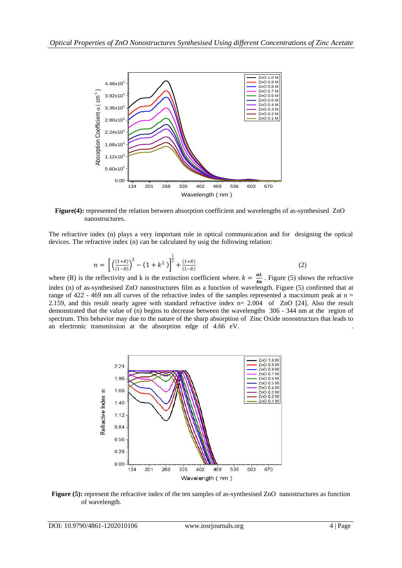

**Figure(4):** represented the relation between absorption coefficient and wavelengths of as-synthesised ZnO nanostructures.

The refractive index (n) plays a very important role in optical communication and for designing the optical devices. The refractive index (n) can be calculated by usig the following relation:

$$
n = \left[ \left( \frac{(1+R)}{(1-R)} \right)^2 - (1 + k^2) \right]^{\frac{1}{2}} + \frac{(1+R)}{(1-R)} \tag{2}
$$

where (R) is the reflectivity and k is the extinction coefficient where.  $k = \frac{\alpha \lambda}{4}$  $rac{dx}{4\pi}$ . Figure (5) shows the refractive index (n) of as-synthesised ZnO nanostructures film as a function of wavelength. Figure (5) confirmed that at range of 422 - 469 nm all curves of the refractive index of the samples represented a macximum peak at  $n =$ 2.159, and this result nearly agree with standard refractive index n= 2.004 of ZnO [24]. Also the result demonstrated that the value of (n) begins to decrease between the wavelengths 306 - 344 nm at the region of spectrum. This behavior may due to the nature of the sharp absorption of Zinc Oxide nonostructurs that leads to an electronic transmission at the absorption edge of 4.66 eV. .



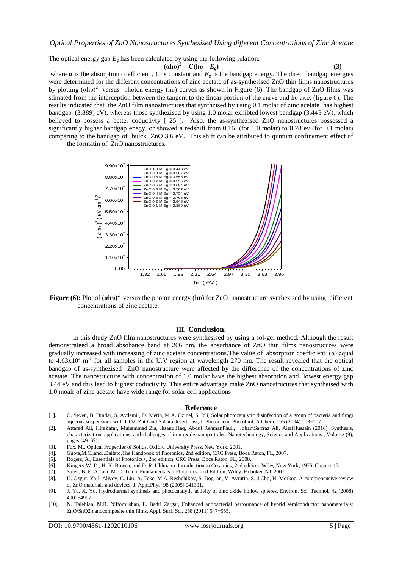The optical energy gap  $E_{g}$  has been calculated by using the following relation:

$$
(a\text{h}v)^2 = C(\text{h}v - E_g) \tag{3}
$$

where  $\alpha$  is the absorption coefficient, C is constant and  $E_{\rm g}$  is the bandgap energy. The direct bandgap energies were determined for the different concentrations of zinc acetate of as-synthesised ZnO thin films nanostructures by plotting  $(ahu)^2$  versus photon energy (hv) curves as shown in Figure (6). The bandgap of ZnO films was stimated from the interception between the tangent to the linear portion of the curve and hυ axix (figure 6). The results indicated that the ZnO film nanostructures that synthzised by using 0.1 molar of zinc acetate has highest bandgap (3.889) eV), whereas those synthezised by using 1.0 molar exhibted lowest bandgap (3.443 eV), which believed to possess a better coductivty [ 25 ]. Also, the as-synthezised ZnO nanostructures possessed a significantly higher bandgap enegy, or showed a redshift from 0.16 (for 1.0 molar) to 0.28 ev (for 0.1 molar) comparing to the bandgap of bulck ZnO 3.6 eV. This shift can be attributed to quntum confinement effect of the formatin of ZnO nanostructures.



**Figure (6):** Plot of **(αhυ)<sup>2</sup>** versus the photon energy (**hυ**) for ZnO nanostructure synthezised by using different concentrations of zinc acetate.

#### **III. Conclusion**:

In this dtudy ZnO film nanostructures were synthesised by using a sol-gel method. Although the result demonstrateed a broad absobance band at 266 nm, the absorbance of ZnO thin films nanostrucures were gradually increased with increasing of zinc acetate concentrations. The value of absorption coefficient  $(\alpha)$  equal to  $4.63 \times 10^3$  m<sup>-1</sup> for all samples in the U.V region at wavelength 270 nm. The result revealed that the optical bandgap of as-synthezised ZnO nanostructure were affected by the difference of the concentrations of zinc acetate. The nanostructure with concentration of 1.0 molar have the highest absorbtion and lowest energy gap 3.44 eV and this leed to highest coductivity. This entire advantage make ZnO nanostrucures that syntheised with 1.0 moalr of zinc acetate have wide range for solar cell applications.

#### **Reference**

- [1]. O. Seven, B. Dindar, S. Aydemir, D. Metin, M.A. Ozinel, S. Icli, Solar photocatalytic disinfection of a group of bacteria and fungi aqueous suspensions with TiO2, ZnO and Sahara desert dust, J. Photochem. Photobiol. A Chem. 165 (2004) 103–107.
- [2]. Attarad Ali, HiraZafar, Muhammad Zia, IhsanulHaq, Abdul RehmanPhull, JohamSarfraz Ali, AltafHussain (2016), Synthesis, characterization, applications, and challenges of iron oxide nanoparticles, Nanotechnology, Science and Applications , Volume (9), pages (49–67).
- [3]. Fox, M., Optical Properties of Solids, Oxford University Press, New York, 2001.
- [4]. Gupta,M.C.,andJ.Ballato,The Handbook of Photonics, 2nd edition, CRC Press, Boca Raton, FL, 2007.
- [5]. Rogers, A., Essentials of Photonics+, 2nd edition, CRC Press, Boca Raton, FL, 2008.
- [6]. Kingery,W. D., H. K. Bowen, and D. R. Uhlmann ,Introduction to Ceramics, 2nd edition, Wiley,New York, 1976, Chapter 13.
- [7]. Saleh, B. E. A., and M. C. Teich, Fundamentals ofPhotonics, 2nd Edition, Wiley, Hoboken,NJ, 2007.
- [8]. U. Ozgur, Ya I. Alivov, C. Liu, A. Teke, M.A. Reshchikov, S. Dog˘an, V. Avrutin, S.-J.Cho, H. Morkoc, A comprehensive review of ZnO materials and devices, J. Appl.Phys. 98 (2005) 041301.
- [9]. J. Yu, X. Yu, Hydrothermal synthesis and photocatalytic activity of zinc oxide hollow spheres, Environ. Sci. Technol. 42 (2008) 4902–4907.
- [10]. N. Talebian, M.R. Nilforoushan, E. Badri Zargar, Enhanced antibacterial performance of hybrid semiconductor nanomaterials: ZnO/SnO2 nanocomposite thin films, Appl. Surf. Sci. 258 (2011) 547–555.